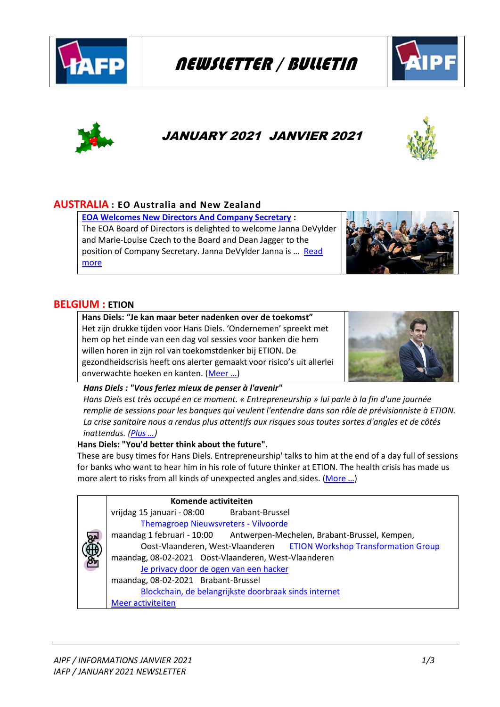

# NEWSLETTER / BULLETIN





## JANUARY 2021 JANVIER 2021



## **AUSTRALIA : EO Australia and New Zealand**

**[EOA Welcomes New Directors And Company Secretary](https://employeeownership.com.au/eoa-welcomes-new-directors-and-company-secretary/) :**  The EOA Board of Directors is delighted to welcome Janna DeVylder and Marie-Louise Czech to the Board and Dean Jagger to the position of Company Secretary. Janna DeVylder Janna is … [Read](https://employeeownership.com.au/eoa-welcomes-new-directors-and-company-secretary/#more-34435)  [more](https://employeeownership.com.au/eoa-welcomes-new-directors-and-company-secretary/#more-34435)



## **BELGIUM : ETION**

**Hans Diels: "Je kan maar beter nadenken over de toekomst"** Het zijn drukke tijden voor Hans Diels. 'Ondernemen' spreekt met hem op het einde van een dag vol sessies voor banken die hem willen horen in zijn rol van toekomstdenker bij ETION. De gezondheidscrisis heeft ons alerter gemaakt voor risico's uit allerlei onverwachte hoeken en kanten. ([Meer …](https://etion.be/kennisbank/hans-diels-je-kan-maar-beter-nadenken-over-de-toekomst))



*Hans Diels : "Vous feriez mieux de penser à l'avenir"*

*Hans Diels est très occupé en ce moment. « Entrepreneurship » lui parle à la fin d'une journée remplie de sessions pour les banques qui veulent l'entendre dans son rôle de prévisionniste à ETION. La crise sanitaire nous a rendus plus attentifs aux risques sous toutes sortes d'angles et de côtés inattendus. ([Plus …](https://etion.be/kennisbank/hans-diels-je-kan-maar-beter-nadenken-over-de-toekomst))*

## **Hans Diels: "You'd better think about the future".**

These are busy times for Hans Diels. Entrepreneurship' talks to him at the end of a day full of sessions for banks who want to hear him in his role of future thinker at ETION. The health crisis has made us more alert to risks from all kinds of unexpected angles and sides. (More ...)

|            | Komende activiteiten                                                 |                                                                         |  |  |
|------------|----------------------------------------------------------------------|-------------------------------------------------------------------------|--|--|
|            | vrijdag 15 januari - 08:00 Brabant-Brussel                           |                                                                         |  |  |
|            | Themagroep Nieuwsvreters - Vilvoorde                                 |                                                                         |  |  |
| <b>انگ</b> |                                                                      | maandag 1 februari - 10:00 Antwerpen-Mechelen, Brabant-Brussel, Kempen, |  |  |
|            | Oost-Vlaanderen, West-Vlaanderen ETION Workshop Transformation Group |                                                                         |  |  |
| இது        |                                                                      | maandag, 08-02-2021 Oost-Vlaanderen, West-Vlaanderen                    |  |  |
|            | Je privacy door de ogen van een hacker                               |                                                                         |  |  |
|            | maandag, 08-02-2021 Brabant-Brussel                                  |                                                                         |  |  |
|            | Blockchain, de belangrijkste doorbraak sinds internet                |                                                                         |  |  |
|            | Meer activiteiten                                                    |                                                                         |  |  |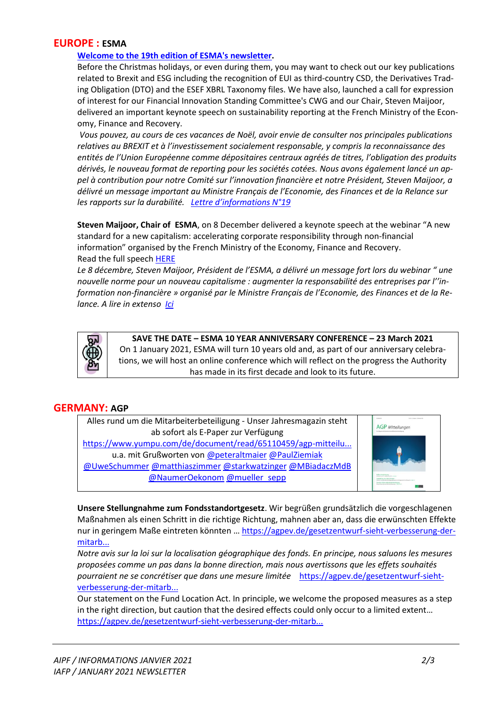## **EUROPE : ESMA**

#### **[Welcome to the 19th edition of ESMA's newsletter.](https://www.esma.europa.eu/press-news/esma-news/esma-newsletter-n%C2%BA19)**

Before the Christmas holidays, or even during them, you may want to check out our key publications related to Brexit and ESG including the recognition of EUI as third-country CSD, the Derivatives Trading Obligation (DTO) and the ESEF XBRL Taxonomy files. We have also, launched a call for expression of interest for our Financial Innovation Standing Committee's CWG and our Chair, Steven Maijoor, delivered an important keynote speech on sustainability reporting at the French Ministry of the Economy, Finance and Recovery.

*Vous pouvez, au cours de ces vacances de Noël, avoir envie de consulter nos principales publications relatives au BREXIT et à l'investissement socialement responsable, y compris la reconnaissance des entités de l'Union Européenne comme dépositaires centraux agréés de titres, l'obligation des produits dérivés, le nouveau format de reporting pour les sociétés cotées. Nous avons également lancé un appel à contribution pour notre Comité sur l'innovation financière et notre Président, Steven Maijoor, a délivré un message important au Ministre Français de l'Economie, des Finances et de la Relance sur les rapports sur la durabilité. [Lettre d'informations N°19](https://www.esma.europa.eu/press-news/esma-news/esma-newsletter-n%C2%BA19)*

**Steven Maijoor, Chair of ESMA**, on 8 December delivered a keynote speech at the webinar "A new standard for a new capitalism: accelerating corporate responsibility through non-financial information" organised by the French Ministry of the Economy, Finance and Recovery. Read the full speech [HERE](https://www.esma.europa.eu/sites/default/files/library/esma32-67-765_speech_steven_maijoor_-_the_three_paradoxes_of_sustainability_reporting_and_how_to_address_them.pdf)

*Le 8 décembre, Steven Maijoor, Président de l'ESMA, a délivré un message fort lors du webinar " une nouvelle norme pour un nouveau capitalisme : augmenter la responsabilité des entreprises par l''information non-financière » organisé par le Ministre Français de l'Economie, des Finances et de la Relance. A lire in extenso [Ici](https://www.esma.europa.eu/sites/default/files/library/esma32-67-765_speech_steven_maijoor_-_the_three_paradoxes_of_sustainability_reporting_and_how_to_address_them.pdf)*



**SAVE THE DATE – ESMA 10 YEAR ANNIVERSARY CONFERENCE – 23 March 2021** On 1 January 2021, ESMA will turn 10 years old and, as part of our anniversary celebrations, we will host an online conference which will reflect on the progress the Authority has made in its first decade and look to its future.

## **GERMANY: AGP**

| Alles rund um die Mitarbeiterbeteiligung - Unser Jahresmagazin steht |  |  |
|----------------------------------------------------------------------|--|--|
| ab sofort als E-Paper zur Verfügung                                  |  |  |
| https://www.yumpu.com/de/document/read/65110459/agp-mitteilu         |  |  |
| u.a. mit Grußworten von @peteraltmaier @PaulZiemiak                  |  |  |
| @UweSchummer @matthiaszimmer @starkwatzinger @MBiadaczMdB            |  |  |
| @NaumerOekonom @mueller sepp                                         |  |  |



**Unsere Stellungnahme zum Fondsstandortgesetz**. Wir begrüßen grundsätzlich die vorgeschlagenen Maßnahmen als einen Schritt in die richtige Richtung, mahnen aber an, dass die erwünschten Effekte nur in geringem Maße eintreten könnten … [https://agpev.de/gesetzentwurf-sieht-verbesserung-der](https://agpev.de/gesetzentwurf-sieht-verbesserung-der-mitarbeiterbeteiligung-vor-stellungnahme-des-bundesverbands-mitarbeiterbeteiligung-zum-geplanten-fondsstandortgesetzes)[mitarb...](https://agpev.de/gesetzentwurf-sieht-verbesserung-der-mitarbeiterbeteiligung-vor-stellungnahme-des-bundesverbands-mitarbeiterbeteiligung-zum-geplanten-fondsstandortgesetzes)

*Notre avis sur la loi sur la localisation géographique des fonds. En principe, nous saluons les mesures proposées comme un pas dans la bonne direction, mais nous avertissons que les effets souhaités pourraient ne se concrétiser que dans une mesure limitée* [https://agpev.de/gesetzentwurf-sieht](https://agpev.de/gesetzentwurf-sieht-verbesserung-der-mitarbeiterbeteiligung-vor-stellungnahme-des-bundesverbands-mitarbeiterbeteiligung-zum-geplanten-fondsstandortgesetzes)[verbesserung-der-mitarb...](https://agpev.de/gesetzentwurf-sieht-verbesserung-der-mitarbeiterbeteiligung-vor-stellungnahme-des-bundesverbands-mitarbeiterbeteiligung-zum-geplanten-fondsstandortgesetzes)

Our statement on the Fund Location Act. In principle, we welcome the proposed measures as a step in the right direction, but caution that the desired effects could only occur to a limited extent… [https://agpev.de/gesetzentwurf-sieht-verbesserung-der-mitarb...](https://agpev.de/gesetzentwurf-sieht-verbesserung-der-mitarbeiterbeteiligung-vor-stellungnahme-des-bundesverbands-mitarbeiterbeteiligung-zum-geplanten-fondsstandortgesetzes)